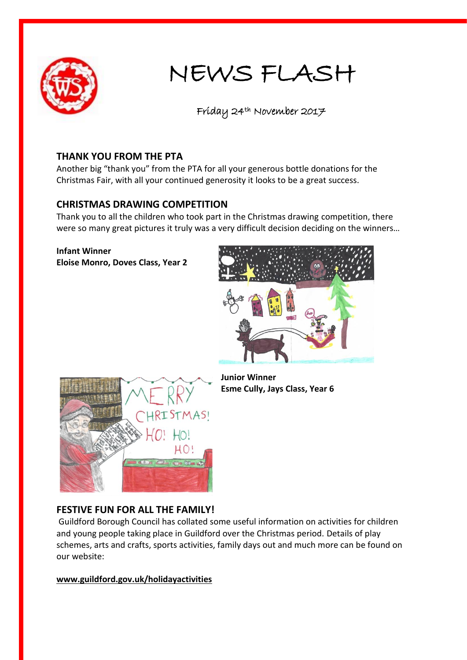

# NEWS FLASH

Friday 24th November 2017

### **THANK YOU FROM THE PTA**

Another big "thank you" from the PTA for all your generous bottle donations for the Christmas Fair, with all your continued generosity it looks to be a great success.

## **CHRISTMAS DRAWING COMPETITION**

Thank you to all the children who took part in the Christmas drawing competition, there were so many great pictures it truly was a very difficult decision deciding on the winners…

**Infant Winner Eloise Monro, Doves Class, Year 2**





**Junior Winner Esme Cully, Jays Class, Year 6**

#### **FESTIVE FUN FOR ALL THE FAMILY!**

Guildford Borough Council has collated some useful information on activities for children and young people taking place in Guildford over the Christmas period. Details of play schemes, arts and crafts, sports activities, family days out and much more can be found on our website:

**[www.guildford.gov.uk/holidayactivities](http://www.guildford.gov.uk/holidayactivities)**